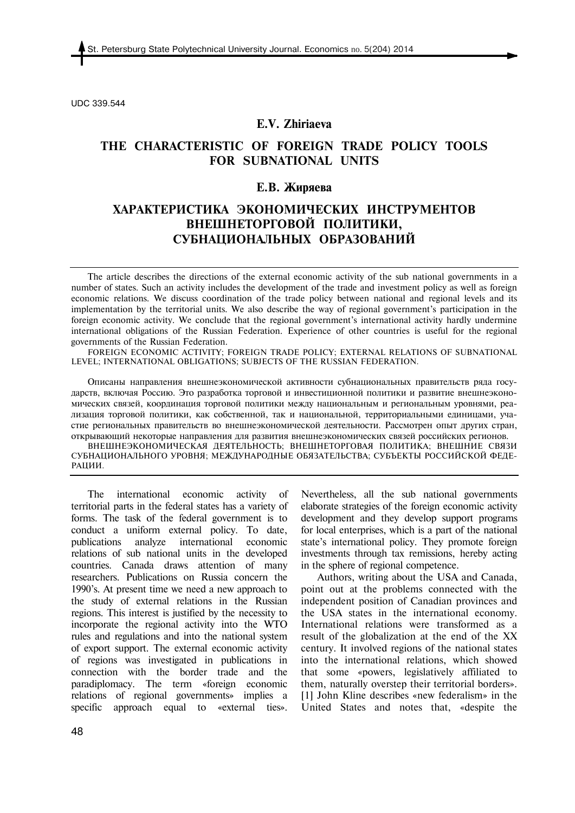UDC 339.544

### **E.V. Zhiriaeva**

## **THE CHARACTERISTIC OF FOREIGN TRADE POLICY TOOLS FOR SUBNATIONAL UNITS**

### **Е.В. Жиряева**

# **ХАРАКТЕРИСТИКА ЭКОНОМИЧЕСКИХ ИНСТРУМЕНТОВ ВНЕШНЕТОРГОВОЙ ПОЛИТИКИ, СУБНАЦИОНАЛЬНЫХ ОБРАЗОВАНИЙ**

The article describes the directions of the external economic activity of the sub national governments in a number of states. Such an activity includes the development of the trade and investment policy as well as foreign economic relations. We discuss coordination of the trade policy between national and regional levels and its implementation by the territorial units. We also describe the way of regional government's participation in the foreign economic activity. We conclude that the regional government's international activity hardly undermine international obligations of the Russian Federation. Experience of other countries is useful for the regional governments of the Russian Federation.

FOREIGN ECONOMIC ACTIVITY; FOREIGN TRADE POLICY; EXTERNAL RELATIONS OF SUBNATIONAL LEVEL; INTERNATIONAL OBLIGATIONS; SUBJECTS OF THE RUSSIAN FEDERATION.

Описаны направления внешнеэкономической активности субнациональных правительств ряда государств, включая Россию. Это разработка торговой и инвестиционной политики и развитие внешнеэкономических связей, координация торговой политики между национальным и региональным уровнями, реализация торговой политики, как собственной, так и национальной, территориальными единицами, участие региональных правительств во внешнеэкономической деятельности. Рассмотрен опыт других стран, открывающий некоторые направления для развития внешнеэкономических связей российских регионов.

ВНЕШНЕЭКОНОМИЧЕСКАЯ ДЕЯТЕЛЬНОСТЬ; ВНЕШНЕТОРГОВАЯ ПОЛИТИКА; ВНЕШНИЕ СВЯЗИ СУБНАЦИОНАЛЬНОГО УРОВНЯ; МЕЖДУНАРОДНЫЕ ОБЯЗАТЕЛЬСТВА; СУБЪЕКТЫ РОССИЙСКОЙ ФЕДЕ-РАЦИИ.

The international economic activity of territorial parts in the federal states has a variety of forms. The task of the federal government is to conduct a uniform external policy. To date, publications analyze international economic relations of sub national units in the developed countries. Canada draws attention of many researchers. Publications on Russia concern the 1990's. At present time we need a new approach to the study of external relations in the Russian regions. This interest is justified by the necessity to incorporate the regional activity into the WTO rules and regulations and into the national system of export support. The external economic activity of regions was investigated in publications in connection with the border trade and the paradiplomacy. The term «foreign economic relations of regional governments» implies a specific approach equal to «external ties».

Nevertheless, all the sub national governments elaborate strategies of the foreign economic activity development and they develop support programs for local enterprises, which is a part of the national state's international policy. They promote foreign investments through tax remissions, hereby acting in the sphere of regional competence.

Authors, writing about the USA and Canada, point out at the problems connected with the independent position of Canadian provinces and the USA states in the international economy. International relations were transformed as a result of the globalization at the end of the XX century. It involved regions of the national states into the international relations, which showed that some «powers, legislatively affiliated to them, naturally overstep their territorial borders». [1] John Kline describes «new federalism» in the United States and notes that, «despite the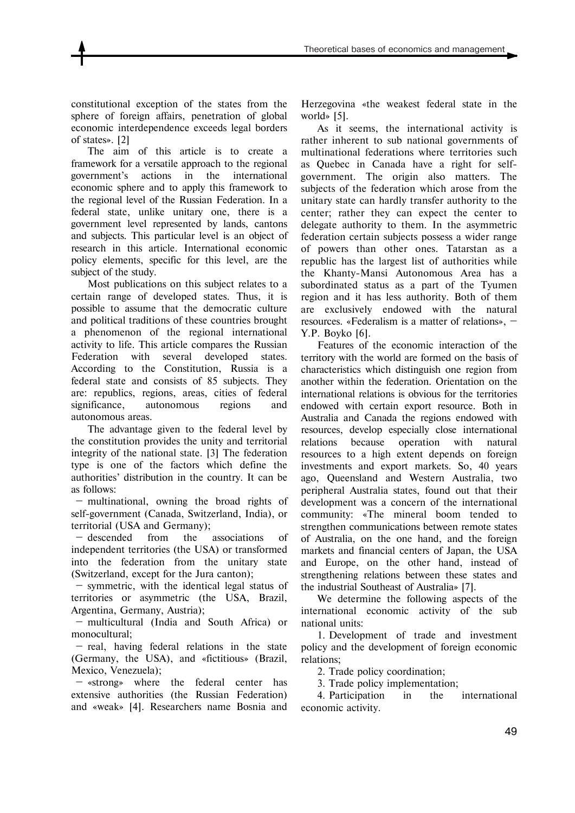constitutional exception of the states from the sphere of foreign affairs, penetration of global economic interdependence exceeds legal borders of states». [2]

The aim of this article is to create a framework for a versatile approach to the regional government's actions in the international economic sphere and to apply this framework to the regional level of the Russian Federation. In a federal state, unlike unitary one, there is a government level represented by lands, cantons and subjects. This particular level is an object of research in this article. International economic policy elements, specific for this level, are the subject of the study.

Most publications on this subject relates to a certain range of developed states. Thus, it is possible to assume that the democratic culture and political traditions of these countries brought a phenomenon of the regional international activity to life. This article compares the Russian Federation with several developed states. According to the Constitution, Russia is a federal state and consists of 85 subjects. They are: republics, regions, areas, cities of federal significance, autonomous regions and autonomous areas.

The advantage given to the federal level by the constitution provides the unity and territorial integrity of the national state. [3] The federation type is one of the factors which define the authorities' distribution in the country. It can be as follows:

 — multinational, owning the broad rights of self-government (Canada, Switzerland, India), or territorial (USA and Germany);

 — descended from the associations of independent territories (the USA) or transformed into the federation from the unitary state (Switzerland, except for the Jura canton);

 — symmetric, with the identical legal status of territories or asymmetric (the USA, Brazil, Argentina, Germany, Austria);

 — multicultural (India and South Africa) or monocultural;

 — real, having federal relations in the state (Germany, the USA), and «fictitious» (Brazil, Mexico, Venezuela);

 — «strong» where the federal center has extensive authorities (the Russian Federation) and «weak» [4]. Researchers name Bosnia and

Herzegovina «the weakest federal state in the world» [5].

As it seems, the international activity is rather inherent to sub national governments of multinational federations where territories such as Quebec in Canada have a right for selfgovernment. The origin also matters. The subjects of the federation which arose from the unitary state can hardly transfer authority to the center; rather they can expect the center to delegate authority to them. In the asymmetric federation certain subjects possess a wider range of powers than other ones. Tatarstan as a republic has the largest list of authorities while the Khanty-Mansi Autonomous Area has a subordinated status as a part of the Tyumen region and it has less authority. Both of them are exclusively endowed with the natural resources. «Federalism is a matter of relations», — Y.P. Boyko [6].

Features of the economic interaction of the territory with the world are formed on the basis of characteristics which distinguish one region from another within the federation. Orientation on the international relations is obvious for the territories endowed with certain export resource. Both in Australia and Canada the regions endowed with resources, develop especially close international relations because operation with natural resources to a high extent depends on foreign investments and export markets. So, 40 years ago, Queensland and Western Australia, two peripheral Australia states, found out that their development was a concern of the international community: «The mineral boom tended to strengthen communications between remote states of Australia, on the one hand, and the foreign markets and financial centers of Japan, the USA and Europe, on the other hand, instead of strengthening relations between these states and the industrial Southeast of Australia» [7].

We determine the following aspects of the international economic activity of the sub national units:

1. Development of trade and investment policy and the development of foreign economic relations;

2. Trade policy coordination;

3. Trade policy implementation;

4. Participation in the international economic activity.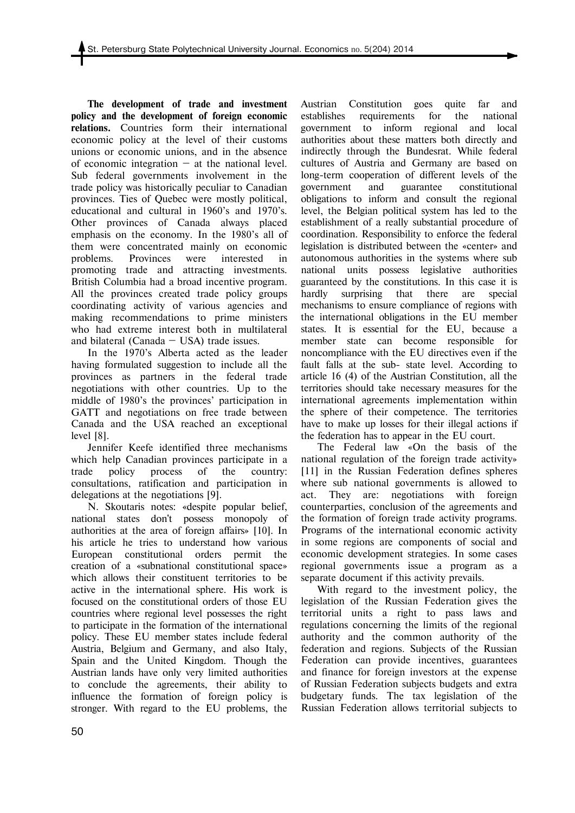**The development of trade and investment policy and the development of foreign economic relations.** Countries form their international economic policy at the level of their customs unions or economic unions, and in the absence of economic integration  $-$  at the national level. Sub federal governments involvement in the trade policy was historically peculiar to Canadian provinces. Ties of Quebec were mostly political, educational and cultural in 1960's and 1970's. Other provinces of Canada always placed emphasis on the economy. In the 1980's all of them were concentrated mainly on economic problems. Provinces were interested in promoting trade and attracting investments. British Columbia had a broad incentive program. All the provinces created trade policy groups coordinating activity of various agencies and making recommendations to prime ministers who had extreme interest both in multilateral and bilateral (Canada  $-$  USA) trade issues.

In the 1970's Alberta acted as the leader having formulated suggestion to include all the provinces as partners in the federal trade negotiations with other countries. Up to the middle of 1980's the provinces' participation in GATT and negotiations on free trade between Canada and the USA reached an exceptional level [8].

Jennifer Keefe identified three mechanisms which help Canadian provinces participate in a trade policy process of the country: consultations, ratification and participation in delegations at the negotiations [9].

N. Skoutaris notes: «despite popular belief, national states don't possess monopoly of authorities at the area of foreign affairs» [10]. In his article he tries to understand how various European constitutional orders permit the creation of a «subnational constitutional space» which allows their constituent territories to be active in the international sphere. His work is focused on the constitutional orders of those EU countries where regional level possesses the right to participate in the formation of the international policy. These EU member states include federal Austria, Belgium and Germany, and also Italy, Spain and the United Kingdom. Though the Austrian lands have only very limited authorities to conclude the agreements, their ability to influence the formation of foreign policy is stronger. With regard to the EU problems, the

Austrian Constitution goes quite far and establishes requirements for the national government to inform regional and local authorities about these matters both directly and indirectly through the Bundesrat. While federal cultures of Austria and Germany are based on long-term cooperation of different levels of the government and guarantee constitutional obligations to inform and consult the regional level, the Belgian political system has led to the establishment of a really substantial procedure of coordination. Responsibility to enforce the federal legislation is distributed between the «center» and autonomous authorities in the systems where sub national units possess legislative authorities guaranteed by the constitutions. In this case it is hardly surprising that there are special mechanisms to ensure compliance of regions with the international obligations in the EU member states. It is essential for the EU, because a member state can become responsible for noncompliance with the EU directives even if the fault falls at the sub- state level. According to article 16 (4) of the Austrian Constitution, all the territories should take necessary measures for the international agreements implementation within the sphere of their competence. The territories have to make up losses for their illegal actions if the federation has to appear in the EU court.

The Federal law «On the basis of the national regulation of the foreign trade activity» [11] in the Russian Federation defines spheres where sub national governments is allowed to act. They are: negotiations with foreign counterparties, conclusion of the agreements and the formation of foreign trade activity programs. Programs of the international economic activity in some regions are components of social and economic development strategies. In some cases regional governments issue a program as a separate document if this activity prevails.

With regard to the investment policy, the legislation of the Russian Federation gives the territorial units a right to pass laws and regulations concerning the limits of the regional authority and the common authority of the federation and regions. Subjects of the Russian Federation can provide incentives, guarantees and finance for foreign investors at the expense of Russian Federation subjects budgets and extra budgetary funds. The tax legislation of the Russian Federation allows territorial subjects to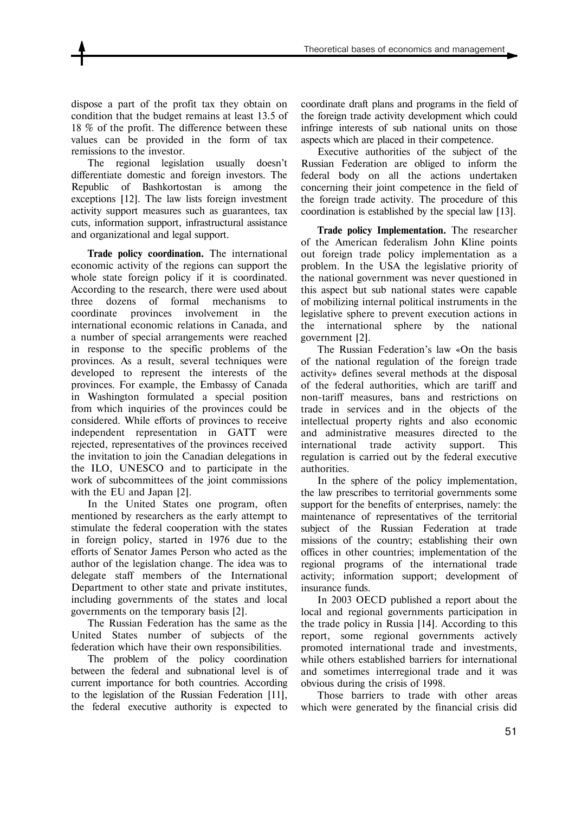dispose a part of the profit tax they obtain on condition that the budget remains at least 13.5 of 18 % of the profit. The difference between these values can be provided in the form of tax remissions to the investor.

The regional legislation usually doesn't differentiate domestic and foreign investors. The Republic of Bashkortostan is among the exceptions [12]. The law lists foreign investment activity support measures such as guarantees, tax cuts, information support, infrastructural assistance and organizational and legal support.

**Trade policy coordination.** The international economic activity of the regions can support the whole state foreign policy if it is coordinated. According to the research, there were used about three dozens of formal mechanisms to coordinate provinces involvement in the international economic relations in Canada, and a number of special arrangements were reached in response to the specific problems of the provinces. As a result, several techniques were developed to represent the interests of the provinces. For example, the Embassy of Canada in Washington formulated a special position from which inquiries of the provinces could be considered. While efforts of provinces to receive independent representation in GATT were rejected, representatives of the provinces received the invitation to join the Canadian delegations in the ILO, UNESCO and to participate in the work of subcommittees of the joint commissions with the EU and Japan [2].

In the United States one program, often mentioned by researchers as the early attempt to stimulate the federal cooperation with the states in foreign policy, started in 1976 due to the efforts of Senator James Person who acted as the author of the legislation change. The idea was to delegate staff members of the International Department to other state and private institutes, including governments of the states and local governments on the temporary basis [2].

The Russian Federation has the same as the United States number of subjects of the federation which have their own responsibilities.

The problem of the policy coordination between the federal and subnational level is of current importance for both countries. According to the legislation of the Russian Federation [11], the federal executive authority is expected to

coordinate draft plans and programs in the field of the foreign trade activity development which could infringe interests of sub national units on those aspects which are placed in their competence.

Executive authorities of the subject of the Russian Federation are obliged to inform the federal body on all the actions undertaken concerning their joint competence in the field of the foreign trade activity. The procedure of this coordination is established by the special law [13].

**Trade policy Implementation.** The researcher of the American federalism John Kline points out foreign trade policy implementation as a problem. In the USA the legislative priority of the national government was never questioned in this aspect but sub national states were capable of mobilizing internal political instruments in the legislative sphere to prevent execution actions in the international sphere by the national government [2].

The Russian Federation's law «On the basis of the national regulation of the foreign trade activity» defines several methods at the disposal of the federal authorities, which are tariff and non-tariff measures, bans and restrictions on trade in services and in the objects of the intellectual property rights and also economic and administrative measures directed to the international trade activity support. This regulation is carried out by the federal executive authorities.

In the sphere of the policy implementation, the law prescribes to territorial governments some support for the benefits of enterprises, namely: the maintenance of representatives of the territorial subject of the Russian Federation at trade missions of the country; establishing their own offices in other countries; implementation of the regional programs of the international trade activity; information support; development of insurance funds.

In 2003 OECD published a report about the local and regional governments participation in the trade policy in Russia [14]. According to this report, some regional governments actively promoted international trade and investments, while others established barriers for international and sometimes interregional trade and it was obvious during the crisis of 1998.

Those barriers to trade with other areas which were generated by the financial crisis did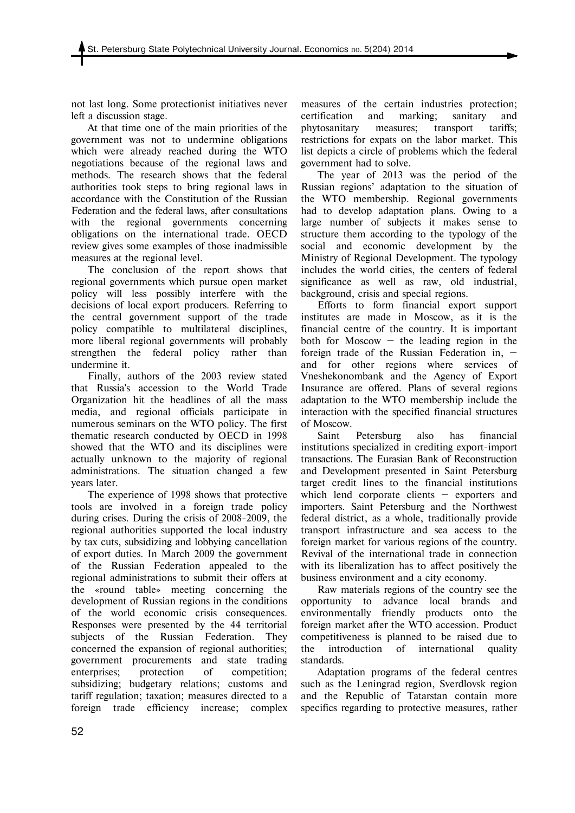not last long. Some protectionist initiatives never left a discussion stage.

At that time one of the main priorities of the government was not to undermine obligations which were already reached during the WTO negotiations because of the regional laws and methods. The research shows that the federal authorities took steps to bring regional laws in accordance with the Constitution of the Russian Federation and the federal laws, after consultations with the regional governments concerning obligations on the international trade. OECD review gives some examples of those inadmissible measures at the regional level.

The conclusion of the report shows that regional governments which pursue open market policy will less possibly interfere with the decisions of local export producers. Referring to the central government support of the trade policy compatible to multilateral disciplines, more liberal regional governments will probably strengthen the federal policy rather than undermine it.

Finally, authors of the 2003 review stated that Russia's accession to the World Trade Organization hit the headlines of all the mass media, and regional officials participate in numerous seminars on the WTO policy. The first thematic research conducted by OECD in 1998 showed that the WTO and its disciplines were actually unknown to the majority of regional administrations. The situation changed a few years later.

The experience of 1998 shows that protective tools are involved in a foreign trade policy during crises. During the crisis of 2008-2009, the regional authorities supported the local industry by tax cuts, subsidizing and lobbying cancellation of export duties. In March 2009 the government of the Russian Federation appealed to the regional administrations to submit their offers at the «round table» meeting concerning the development of Russian regions in the conditions of the world economic crisis consequences. Responses were presented by the 44 territorial subjects of the Russian Federation. They concerned the expansion of regional authorities; government procurements and state trading enterprises; protection of competition; subsidizing; budgetary relations; customs and tariff regulation; taxation; measures directed to a foreign trade efficiency increase; complex

measures of the certain industries protection; certification and marking; sanitary and phytosanitary measures; transport tariffs; restrictions for expats on the labor market. This list depicts a circle of problems which the federal government had to solve.

The year of 2013 was the period of the Russian regions' adaptation to the situation of the WTO membership. Regional governments had to develop adaptation plans. Owing to a large number of subjects it makes sense to structure them according to the typology of the social and economic development by the Ministry of Regional Development. The typology includes the world cities, the centers of federal significance as well as raw, old industrial, background, crisis and special regions.

Efforts to form financial export support institutes are made in Moscow, as it is the financial centre of the country. It is important both for Moscow  $-$  the leading region in the foreign trade of the Russian Federation in, and for other regions where services of Vneshekonombank and the Agency of Export Insurance are offered. Plans of several regions adaptation to the WTO membership include the interaction with the specified financial structures of Moscow.

Saint Petersburg also has financial institutions specialized in crediting export-import transactions. The Eurasian Bank of Reconstruction and Development presented in Saint Petersburg target credit lines to the financial institutions which lend corporate clients – exporters and importers. Saint Petersburg and the Northwest federal district, as a whole, traditionally provide transport infrastructure and sea access to the foreign market for various regions of the country. Revival of the international trade in connection with its liberalization has to affect positively the business environment and a city economy.

Raw materials regions of the country see the opportunity to advance local brands and environmentally friendly products onto the foreign market after the WTO accession. Product competitiveness is planned to be raised due to the introduction of international quality standards.

Adaptation programs of the federal centres such as the Leningrad region, Sverdlovsk region and the Republic of Tatarstan contain more specifics regarding to protective measures, rather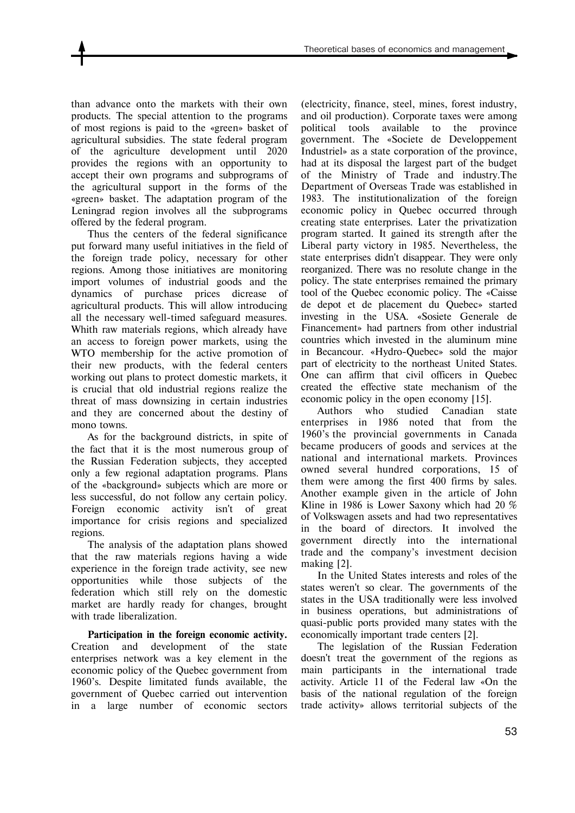than advance onto the markets with their own products. The special attention to the programs of most regions is paid to the «green» basket of agricultural subsidies. The state federal program of the agriculture development until 2020 provides the regions with an opportunity to accept their own programs and subprograms of the agricultural support in the forms of the «green» basket. The adaptation program of the Leningrad region involves all the subprograms offered by the federal program.

Thus the centers of the federal significance put forward many useful initiatives in the field of the foreign trade policy, necessary for other regions. Among those initiatives are monitoring import volumes of industrial goods and the dynamics of purchase prices dicrease of agricultural products. This will allow introducing all the necessary well-timed safeguard measures. Whith raw materials regions, which already have an access to foreign power markets, using the WTO membership for the active promotion of their new products, with the federal centers working out plans to protect domestic markets, it is crucial that old industrial regions realize the threat of mass downsizing in certain industries and they are concerned about the destiny of mono towns.

As for the background districts, in spite of the fact that it is the most numerous group of the Russian Federation subjects, they accepted only a few regional adaptation programs. Plans of the «background» subjects which are more or less successful, do not follow any certain policy. Foreign economic activity isn't of great importance for crisis regions and specialized regions.

The analysis of the adaptation plans showed that the raw materials regions having a wide experience in the foreign trade activity, see new opportunities while those subjects of the federation which still rely on the domestic market are hardly ready for changes, brought with trade liberalization.

**Participation in the foreign economic activity.** Creation and development of the state enterprises network was a key element in the economic policy of the Quebec government from 1960's. Despite limitated funds available, the government of Quebec carried out intervention in a large number of economic sectors

(electricity, finance, steel, mines, forest industry, and oil production). Corporate taxes were among political tools available to the province government. The «Societe de Developpement Industriel» as a state corporation of the province, had at its disposal the largest part of the budget of the Ministry of Trade and industry.The Department of Overseas Trade was established in 1983. The institutionalization of the foreign economic policy in Quebec occurred through creating state enterprises. Later the privatization program started. It gained its strength after the Liberal party victory in 1985. Nevertheless, the state enterprises didn't disappear. They were only reorganized. There was no resolute change in the policy. The state enterprises remained the primary tool of the Quebec economic policy. The «Caisse de depot et de placement du Quebec» started investing in the USA. «Sosiete Generale de Financement» had partners from other industrial countries which invested in the aluminum mine in Becancour. «Hydro-Quebec» sold the major part of electricity to the northeast United States. One can affirm that civil officers in Quebec created the effective state mechanism of the economic policy in the open economy [15].

Authors who studied Canadian state enterprises in 1986 noted that from the 1960's the provincial governments in Canada became producers of goods and services at the national and international markets. Provinces owned several hundred corporations, 15 of them were among the first 400 firms by sales. Another example given in the article of John Kline in 1986 is Lower Saxony which had 20 % of Volkswagen assets and had two representatives in the board of directors. It involved the government directly into the international trade and the company's investment decision making [2].

In the United States interests and roles of the states weren't so clear. The governments of the states in the USA traditionally were less involved in business operations, but administrations of quasi-public ports provided many states with the economically important trade centers [2].

The legislation of the Russian Federation doesn't treat the government of the regions as main participants in the international trade activity. Article 11 of the Federal law «On the basis of the national regulation of the foreign trade activity» allows territorial subjects of the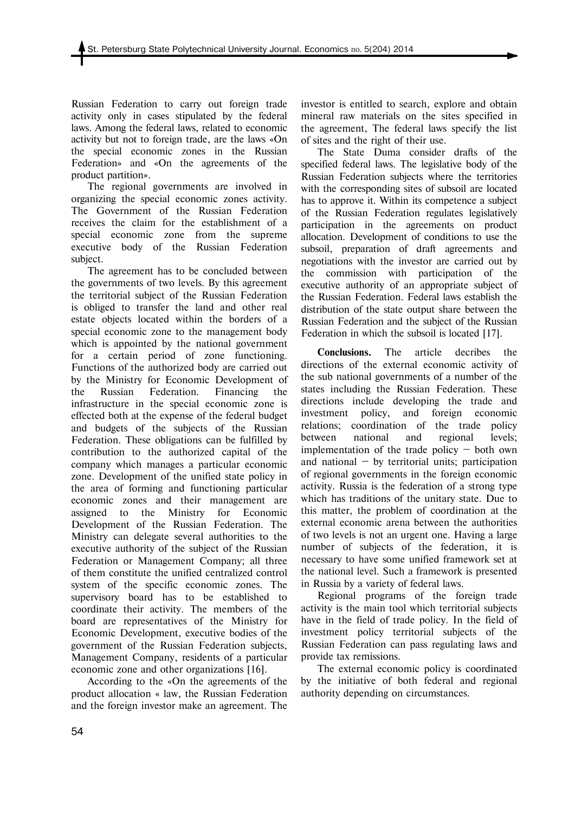Russian Federation to carry out foreign trade activity only in cases stipulated by the federal laws. Among the federal laws, related to economic activity but not to foreign trade, are the laws «On the special economic zones in the Russian Federation» and «On the agreements of the product partition».

The regional governments are involved in organizing the special economic zones activity. The Government of the Russian Federation receives the claim for the establishment of a special economic zone from the supreme executive body of the Russian Federation subject.

The agreement has to be concluded between the governments of two levels. By this agreement the territorial subject of the Russian Federation is obliged to transfer the land and other real estate objects located within the borders of a special economic zone to the management body which is appointed by the national government for a certain period of zone functioning. Functions of the authorized body are carried out by the Ministry for Economic Development of the Russian Federation. Financing the infrastructure in the special economic zone is effected both at the expense of the federal budget and budgets of the subjects of the Russian Federation. These obligations can be fulfilled by contribution to the authorized capital of the company which manages a particular economic zone. Development of the unified state policy in the area of forming and functioning particular economic zones and their management are assigned to the Ministry for Economic Development of the Russian Federation. The Ministry can delegate several authorities to the executive authority of the subject of the Russian Federation or Management Company; all three of them constitute the unified centralized control system of the specific economic zones. The supervisory board has to be established to coordinate their activity. The members of the board are representatives of the Ministry for Economic Development, executive bodies of the government of the Russian Federation subjects, Management Company, residents of a particular economic zone and other organizations [16].

According to the «On the agreements of the product allocation « law, the Russian Federation and the foreign investor make an agreement. The investor is entitled to search, explore and obtain mineral raw materials on the sites specified in the agreement, The federal laws specify the list of sites and the right of their use.

The State Duma consider drafts of the specified federal laws. The legislative body of the Russian Federation subjects where the territories with the corresponding sites of subsoil are located has to approve it. Within its competence a subject of the Russian Federation regulates legislatively participation in the agreements on product allocation. Development of conditions to use the subsoil, preparation of draft agreements and negotiations with the investor are carried out by the commission with participation of the executive authority of an appropriate subject of the Russian Federation. Federal laws establish the distribution of the state output share between the Russian Federation and the subject of the Russian Federation in which the subsoil is located [17].

**Conclusions.** The article decribes the directions of the external economic activity of the sub national governments of a number of the states including the Russian Federation. These directions include developing the trade and investment policy, and foreign economic relations; coordination of the trade policy between national and regional levels; implementation of the trade policy — both own and national  $-$  by territorial units; participation of regional governments in the foreign economic activity. Russia is the federation of a strong type which has traditions of the unitary state. Due to this matter, the problem of coordination at the external economic arena between the authorities of two levels is not an urgent one. Having a large number of subjects of the federation, it is necessary to have some unified framework set at the national level. Such a framework is presented in Russia by a variety of federal laws.

Regional programs of the foreign trade activity is the main tool which territorial subjects have in the field of trade policy. In the field of investment policy territorial subjects of the Russian Federation can pass regulating laws and provide tax remissions.

The external economic policy is coordinated by the initiative of both federal and regional authority depending on circumstances.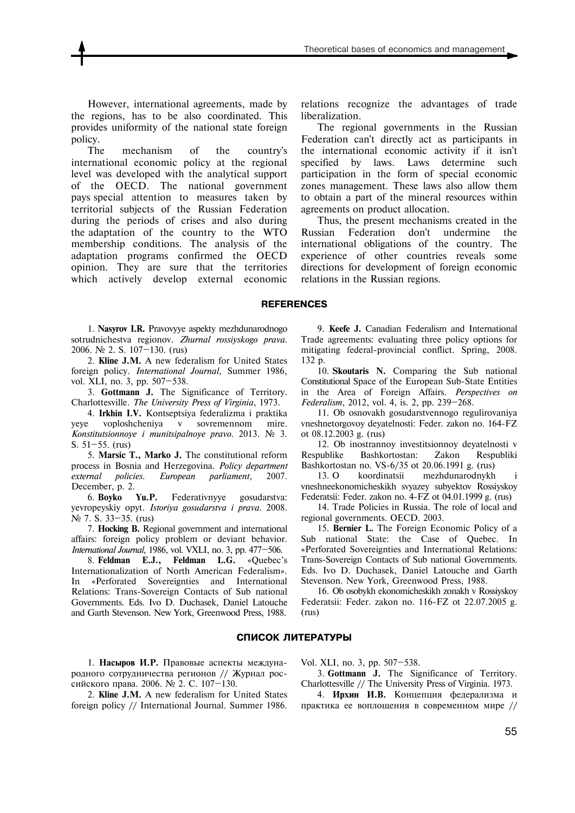However, international agreements, made by the regions, has to be also coordinated. This provides uniformity of the national state foreign policy.

The mechanism of the country's international economic policy at the regional level was developed with the analytical support of the OECD. The national government pays special attention to measures taken by territorial subjects of the Russian Federation during the periods of crises and also during the adaptation of the country to the WTO membership conditions. The analysis of the adaptation programs confirmed the OECD opinion. They are sure that the territories which actively develop external economic

relations recognize the advantages of trade liberalization.

The regional governments in the Russian Federation can't directly act as participants in the international economic activity if it isn't specified by laws. Laws determine such participation in the form of special economic zones management. These laws also allow them to obtain a part of the mineral resources within agreements on product allocation.

Thus, the present mechanisms created in the Russian Federation don't undermine the international obligations of the country. The experience of other countries reveals some directions for development of foreign economic relations in the Russian regions.

#### **REFERENCES**

1. **Nasyrov I.R.** Pravovyye aspekty mezhdunarodnogo sotrudnichestva regionov. *Zhurnal rossiyskogo prava*. 2006. № 2. S. 107—130. (rus)

2. **Kline J.M.** A new federalism for United States foreign policy. *International Journal*, Summer 1986, vol. XLI, no. 3, pp. 507—538.

3. **Gottmann J.** The Significance of Territory. Charlottesville. *The University Press of Virginia*, 1973.

4. **Irkhin I.V.** Kontseptsiya federalizma i praktika yeye voploshcheniya v sovremennom mire. *Konstitutsionnoye i munitsipalnoye pravo*. 2013. № 3. S. 51—55. (rus)

5. **Marsic T., Marko J.** The constitutional reform process in Bosnia and Herzegovina. *Policy department external policies. European parliament*, 2007. December, p. 2.

6. **Boyko Yu.P.** Federativnyye gosudarstva: yevropeyskiy opyt. *Istoriya gosudarstva i prava*. 2008. N<sup>o</sup> 7. S. 33–35. (rus)

7. **Hocking B.** Regional government and international affairs: foreign policy problem or deviant behavior. *International Journal*, 1986, vol. VXLI, no. 3, pp. 477—506.

8. **Feldman E.J., Feldman L.G.** «Quebec's Internationalization of North American Federalism». In «Perforated Sovereignties and International Relations: Trans-Sovereign Contacts of Sub national Governments. Eds. Ivo D. Duchasek, Daniel Latouche and Garth Stevenson. New York, Greenwood Press, 1988.

9. **Keefe J.** Canadian Federalism and International Trade agreements: evaluating three policy options for mitigating federal-provincial conflict. Spring, 2008. 132 p.

10. **Skoutaris N.** Comparing the Sub national Constitutional Space of the European Sub-State Entities in the Area of Foreign Affairs. *Perspectives on Federalism*, 2012, vol. 4, is. 2, pp. 239—268.

11. Ob osnovakh gosudarstvennogo regulirovaniya vneshnetorgovoy deyatelnosti: Feder. zakon no. 164-FZ ot 08.12.2003 g. (rus)

12. Ob inostrannoy investitsionnoy deyatelnosti v Respublike Bashkortostan: Zakon Respubliki Bashkortostan no. VS-6/35 ot 20.06.1991 g. (rus)

13. O koordinatsii mezhdunarodnykh i vneshneekonomicheskikh svyazey subyektov Rossiyskoy Federatsii: Feder. zakon no. 4-FZ ot 04.01.1999 g. (rus)

14. Trade Policies in Russia. The role of local and regional governments. OECD. 2003.

15. **Bernier L.** The Foreign Economic Policy of a Sub national State: the Case of Quebec. In «Perforated Sovereignties and International Relations: Trans-Sovereign Contacts of Sub national Governments. Eds. Ivo D. Duchasek, Daniel Latouche and Garth Stevenson. New York, Greenwood Press, 1988.

16. Ob osobykh ekonomicheskikh zonakh v Rossiyskoy Federatsii: Feder. zakon no. 116-FZ ot 22.07.2005 g. (rus)

#### **СПИСОК ЛИТЕРАТУРЫ**

1. **Насыров И.Р.** Правовые аспекты международного сотрудничества регионов // Журнал российского права. 2006. № 2. С. 107—130.

2. **Kline J.M.** A new federalism for United States foreign policy // International Journal. Summer 1986.

Vol. XLI, no. 3, pp. 507—538.

3. **Gottmann J.** The Significance of Territory. Charlottesville // The University Press of Virginia. 1973.

4. **Ирхин И.В.** Концепция федерализма и практика ее воплощения в современном мире //